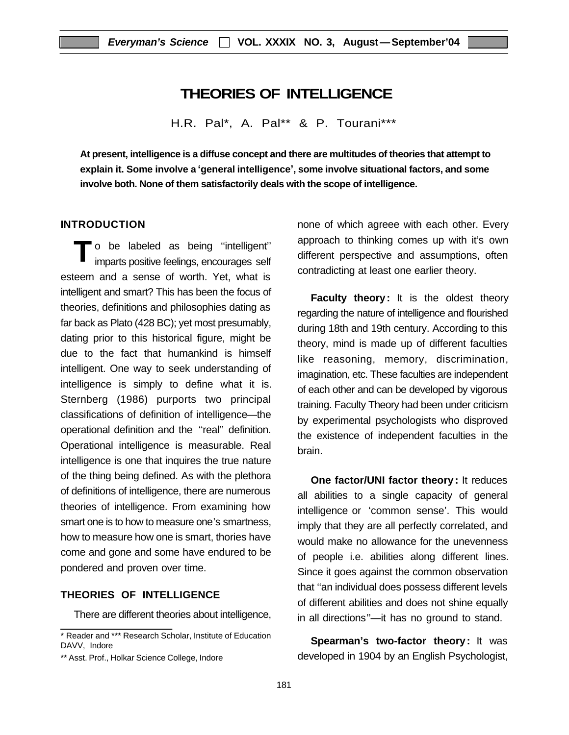## **THEORIES OF INTELLIGENCE**

H.R. Pal\*, A. Pal\*\* & P. Tourani\*\*\*

**At present, intelligence is a diffuse concept and there are multitudes of theories that attempt to explain it. Some involve a 'general intelligence', some involve situational factors, and some involve both. None of them satisfactorily deals with the scope of intelligence.**

## **INTRODUCTION**

**T** o be labeled as being ''intelligent'' imparts positive feelings, encourages self esteem and a sense of worth. Yet, what is intelligent and smart? This has been the focus of theories, definitions and philosophies dating as far back as Plato (428 BC); yet most presumably, dating prior to this historical figure, might be due to the fact that humankind is himself intelligent. One way to seek understanding of intelligence is simply to define what it is. Sternberg (1986) purports two principal classifications of definition of intelligence—the operational definition and the ''real'' definition. Operational intelligence is measurable. Real intelligence is one that inquires the true nature of the thing being defined. As with the plethora of definitions of intelligence, there are numerous theories of intelligence. From examining how smart one is to how to measure one's smartness, how to measure how one is smart, thories have come and gone and some have endured to be pondered and proven over time.

## **THEORIES OF INTELLIGENCE**

There are different theories about intelligence,

none of which agreee with each other. Every approach to thinking comes up with it's own different perspective and assumptions, often contradicting at least one earlier theory.

**Faculty theory:** It is the oldest theory regarding the nature of intelligence and flourished during 18th and 19th century. According to this theory, mind is made up of different faculties like reasoning, memory, discrimination, imagination, etc. These faculties are independent of each other and can be developed by vigorous training. Faculty Theory had been under criticism by experimental psychologists who disproved the existence of independent faculties in the brain.

**One factor/UNI factor theory:** It reduces all abilities to a single capacity of general intelligence or 'common sense'. This would imply that they are all perfectly correlated, and would make no allowance for the unevenness of people i.e. abilities along different lines. Since it goes against the common observation that ''an individual does possess different levels of different abilities and does not shine equally in all directions''—it has no ground to stand.

**Spearman's two-factor theory:** It was developed in 1904 by an English Psychologist,

<sup>\*</sup> Reader and \*\*\* Research Scholar, Institute of Education DAVV, Indore

<sup>\*\*</sup> Asst. Prof., Holkar Science College, Indore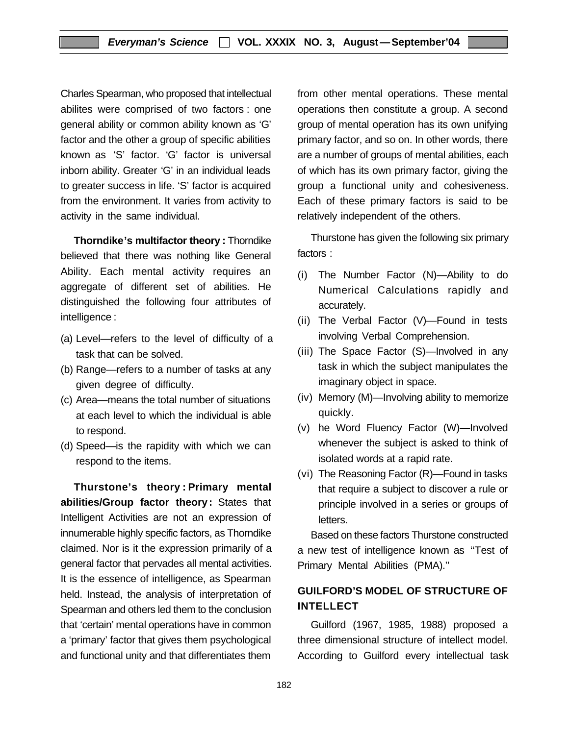Charles Spearman, who proposed that intellectual abilites were comprised of two factors : one general ability or common ability known as 'G' factor and the other a group of specific abilities known as 'S' factor. 'G' factor is universal inborn ability. Greater 'G' in an individual leads to greater success in life. 'S' factor is acquired from the environment. It varies from activity to activity in the same individual.

**Thorndike's multifactor theory :** Thorndike believed that there was nothing like General Ability. Each mental activity requires an aggregate of different set of abilities. He distinguished the following four attributes of intelligence :

- (a) Level—refers to the level of difficulty of a task that can be solved.
- (b) Range—refers to a number of tasks at any given degree of difficulty.
- (c) Area—means the total number of situations at each level to which the individual is able to respond.
- (d) Speed—is the rapidity with which we can respond to the items.

**Thurstone's theory : Primary mental abilities/Group factor theory:** States that Intelligent Activities are not an expression of innumerable highly specific factors, as Thorndike claimed. Nor is it the expression primarily of a general factor that pervades all mental activities. It is the essence of intelligence, as Spearman held. Instead, the analysis of interpretation of Spearman and others led them to the conclusion that 'certain' mental operations have in common a 'primary' factor that gives them psychological and functional unity and that differentiates them

from other mental operations. These mental operations then constitute a group. A second group of mental operation has its own unifying primary factor, and so on. In other words, there are a number of groups of mental abilities, each of which has its own primary factor, giving the group a functional unity and cohesiveness. Each of these primary factors is said to be relatively independent of the others.

Thurstone has given the following six primary factors :

- (i) The Number Factor (N)—Ability to do Numerical Calculations rapidly and accurately.
- (ii) The Verbal Factor (V)—Found in tests involving Verbal Comprehension.
- (iii) The Space Factor (S)—Involved in any task in which the subject manipulates the imaginary object in space.
- (iv) Memory (M)—Involving ability to memorize quickly.
- (v) he Word Fluency Factor (W)—Involved whenever the subject is asked to think of isolated words at a rapid rate.
- (vi) The Reasoning Factor (R)—Found in tasks that require a subject to discover a rule or principle involved in a series or groups of letters.

Based on these factors Thurstone constructed a new test of intelligence known as ''Test of Primary Mental Abilities (PMA).''

## **GUILFORD'S MODEL OF STRUCTURE OF INTELLECT**

Guilford (1967, 1985, 1988) proposed a three dimensional structure of intellect model. According to Guilford every intellectual task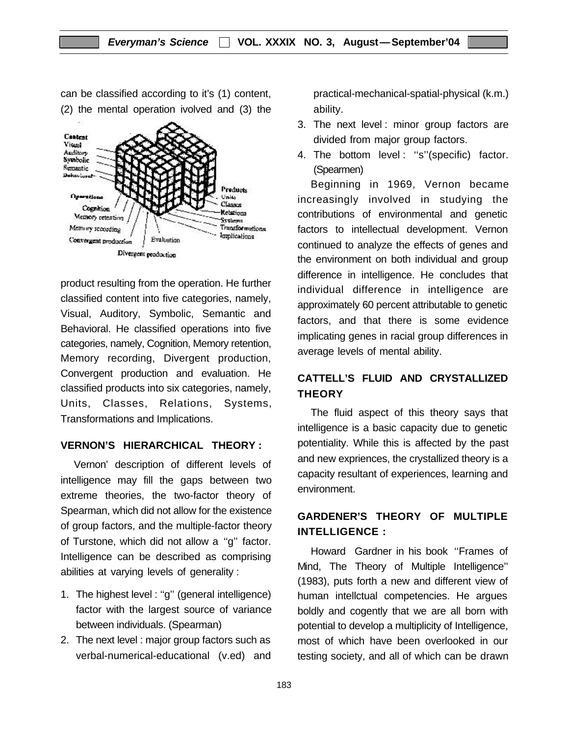can be classified according to it's (1) content, (2) the mental operation ivolved and (3) the



product resulting from the operation. He further classified content into five categories, namely, Visual, Auditory, Symbolic, Semantic and Behavioral. He classified operations into five categories, namely, Cognition, Memory retention, Memory recording, Divergent production, Convergent production and evaluation. He classified products into six categories, namely, Units, Classes, Relations, Systems, Transformations and Implications.

#### **VERNON'S HIERARCHICAL THEORY :**

Vernon' description of different levels of intelligence may fill the gaps between two extreme theories, the two-factor theory of Spearman, which did not allow for the existence of group factors, and the multiple-factor theory of Turstone, which did not allow a ''g'' factor. Intelligence can be described as comprising abilities at varying levels of generality :

- 1. The highest level : ''g'' (general intelligence) factor with the largest source of variance between individuals. (Spearman)
- 2. The next level : major group factors such as verbal-numerical-educational (v.ed) and

practical-mechanical-spatial-physical (k.m.) ability.

- 3. The next level : minor group factors are divided from major group factors.
- 4. The bottom level : ''s''(specific) factor. (Spearmen)

Beginning in 1969, Vernon became increasingly involved in studying the contributions of environmental and genetic factors to intellectual development. Vernon continued to analyze the effects of genes and the environment on both individual and group difference in intelligence. He concludes that individual difference in intelligence are approximately 60 percent attributable to genetic factors, and that there is some evidence implicating genes in racial group differences in average levels of mental ability.

## **CATTELL'S FLUID AND CRYSTALLIZED THEORY**

The fluid aspect of this theory says that intelligence is a basic capacity due to genetic potentiality. While this is affected by the past and new expriences, the crystallized theory is a capacity resultant of experiences, learning and environment.

## **GARDENER'S THEORY OF MULTIPLE INTELLIGENCE :**

Howard Gardner in his book ''Frames of Mind, The Theory of Multiple Intelligence'' (1983), puts forth a new and different view of human intellctual competencies. He argues boldly and cogently that we are all born with potential to develop a multiplicity of Intelligence, most of which have been overlooked in our testing society, and all of which can be drawn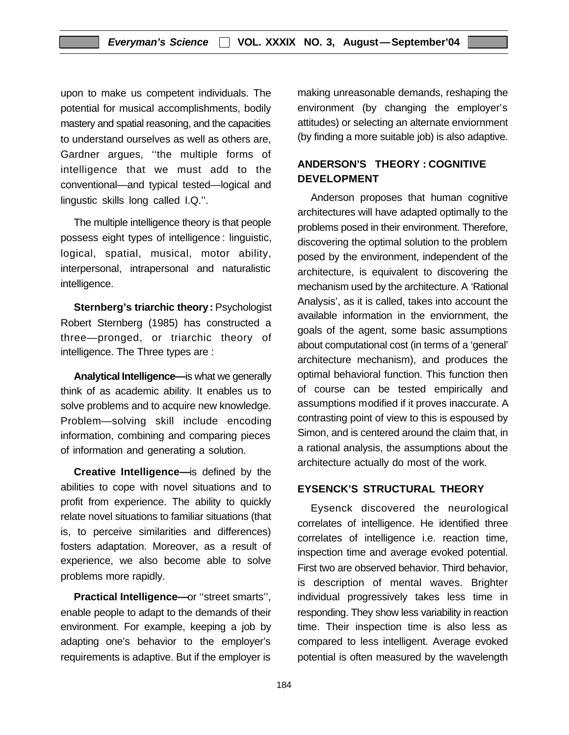upon to make us competent individuals. The potential for musical accomplishments, bodily mastery and spatial reasoning, and the capacities to understand ourselves as well as others are, Gardner argues, ''the multiple forms of intelligence that we must add to the conventional—and typical tested—logical and lingustic skills long called I.Q.''.

The multiple intelligence theory is that people possess eight types of intelligence : linguistic, logical, spatial, musical, motor ability, interpersonal, intrapersonal and naturalistic intelligence.

**Sternberg's triarchic theory:** Psychologist Robert Sternberg (1985) has constructed a three—pronged, or triarchic theory of intelligence. The Three types are :

**Analytical Intelligence—**is what we generally think of as academic ability. It enables us to solve problems and to acquire new knowledge. Problem—solving skill include encoding information, combining and comparing pieces of information and generating a solution.

**Creative Intelligence—**is defined by the abilities to cope with novel situations and to profit from experience. The ability to quickly relate novel situations to familiar situations (that is, to perceive similarities and differences) fosters adaptation. Moreover, as a result of experience, we also become able to solve problems more rapidly.

**Practical Intelligence—**or ''street smarts'', enable people to adapt to the demands of their environment. For example, keeping a job by adapting one's behavior to the employer's requirements is adaptive. But if the employer is

making unreasonable demands, reshaping the environment (by changing the employer's attitudes) or selecting an alternate enviornment (by finding a more suitable job) is also adaptive.

## **ANDERSON'S THEORY : COGNITIVE DEVELOPMENT**

Anderson proposes that human cognitive architectures will have adapted optimally to the problems posed in their environment. Therefore, discovering the optimal solution to the problem posed by the environment, independent of the architecture, is equivalent to discovering the mechanism used by the architecture. A 'Rational Analysis', as it is called, takes into account the available information in the enviornment, the goals of the agent, some basic assumptions about computational cost (in terms of a 'general' architecture mechanism), and produces the optimal behavioral function. This function then of course can be tested empirically and assumptions modified if it proves inaccurate. A contrasting point of view to this is espoused by Simon, and is centered around the claim that, in a rational analysis, the assumptions about the architecture actually do most of the work.

## **EYSENCK'S STRUCTURAL THEORY**

Eysenck discovered the neurological correlates of intelligence. He identified three correlates of intelligence i.e. reaction time, inspection time and average evoked potential. First two are observed behavior. Third behavior, is description of mental waves. Brighter individual progressively takes less time in responding. They show less variability in reaction time. Their inspection time is also less as compared to less intelligent. Average evoked potential is often measured by the wavelength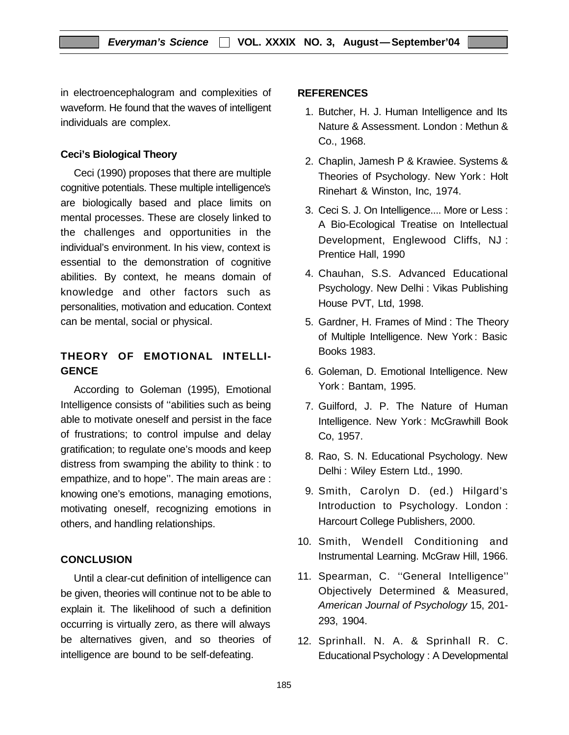in electroencephalogram and complexities of waveform. He found that the waves of intelligent individuals are complex.

## **Ceci's Biological Theory**

Ceci (1990) proposes that there are multiple cognitive potentials. These multiple intelligence's are biologically based and place limits on mental processes. These are closely linked to the challenges and opportunities in the individual's environment. In his view, context is essential to the demonstration of cognitive abilities. By context, he means domain of knowledge and other factors such as personalities, motivation and education. Context can be mental, social or physical.

## **THEORY OF EMOTIONAL INTELLI-GENCE**

According to Goleman (1995), Emotional Intelligence consists of ''abilities such as being able to motivate oneself and persist in the face of frustrations; to control impulse and delay gratification; to regulate one's moods and keep distress from swamping the ability to think : to empathize, and to hope''. The main areas are : knowing one's emotions, managing emotions, motivating oneself, recognizing emotions in others, and handling relationships.

## **CONCLUSION**

Until a clear-cut definition of intelligence can be given, theories will continue not to be able to explain it. The likelihood of such a definition occurring is virtually zero, as there will always be alternatives given, and so theories of intelligence are bound to be self-defeating.

## **REFERENCES**

- 1. Butcher, H. J. Human Intelligence and Its Nature & Assessment. London : Methun & Co., 1968.
- 2. Chaplin, Jamesh P & Krawiee. Systems & Theories of Psychology. New York : Holt Rinehart & Winston, Inc, 1974.
- 3. Ceci S. J. On Intelligence.... More or Less : A Bio-Ecological Treatise on Intellectual Development, Englewood Cliffs, NJ : Prentice Hall, 1990
- 4. Chauhan, S.S. Advanced Educational Psychology. New Delhi : Vikas Publishing House PVT, Ltd, 1998.
- 5. Gardner, H. Frames of Mind : The Theory of Multiple Intelligence. New York : Basic Books 1983.
- 6. Goleman, D. Emotional Intelligence. New York : Bantam, 1995.
- 7. Guilford, J. P. The Nature of Human Intelligence. New York : McGrawhill Book Co, 1957.
- 8. Rao, S. N. Educational Psychology. New Delhi : Wiley Estern Ltd., 1990.
- 9. Smith, Carolyn D. (ed.) Hilgard's Introduction to Psychology. London : Harcourt College Publishers, 2000.
- 10. Smith, Wendell Conditioning and Instrumental Learning. McGraw Hill, 1966.
- 11. Spearman, C. ''General Intelligence'' Objectively Determined & Measured, *American Journal of Psychology* 15, 201- 293, 1904.
- 12. Sprinhall. N. A. & Sprinhall R. C. Educational Psychology : A Developmental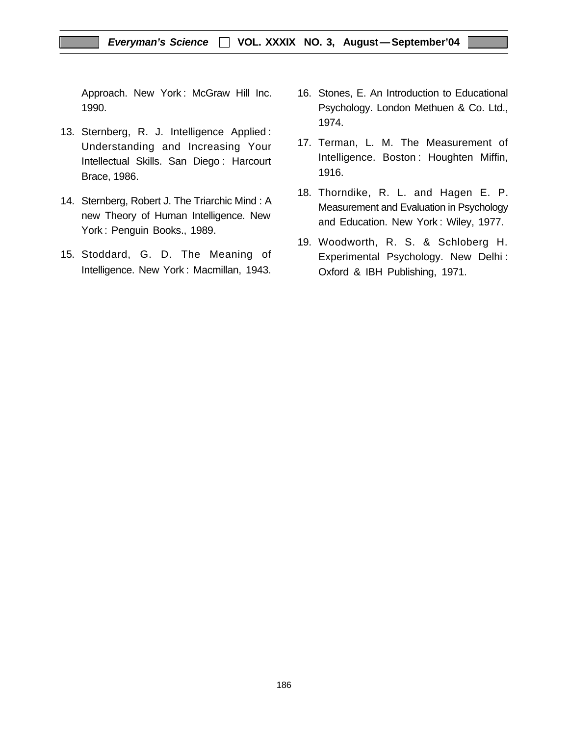Approach. New York : McGraw Hill Inc. 1990.

- 13. Sternberg, R. J. Intelligence Applied : Understanding and Increasing Your Intellectual Skills. San Diego : Harcourt Brace, 1986.
- 14. Sternberg, Robert J. The Triarchic Mind : A new Theory of Human Intelligence. New York : Penguin Books., 1989.
- 15. Stoddard, G. D. The Meaning of Intelligence. New York : Macmillan, 1943.
- 16. Stones, E. An Introduction to Educational Psychology. London Methuen & Co. Ltd., 1974.
- 17. Terman, L. M. The Measurement of Intelligence. Boston : Houghten Miffin, 1916.
- 18. Thorndike, R. L. and Hagen E. P. Measurement and Evaluation in Psychology and Education. New York : Wiley, 1977.
- 19. Woodworth, R. S. & Schloberg H. Experimental Psychology. New Delhi : Oxford & IBH Publishing, 1971.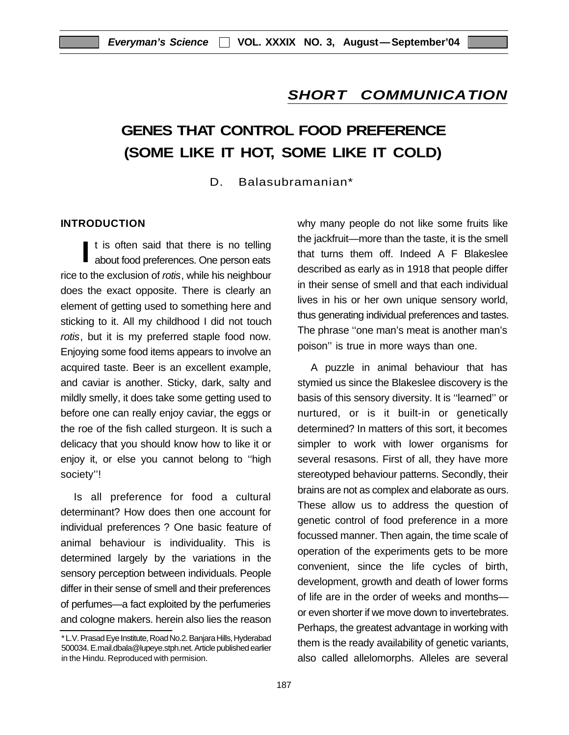## *SHORT COMMUNICATION*

# **GENES THAT CONTROL FOOD PREFERENCE (SOME LIKE IT HOT, SOME LIKE IT COLD)**

D. Balasubramanian\*

#### **INTRODUCTION**

**I** t is often said that there is no telling about food preferences. One person eats rice to the exclusion of *rotis*, while his neighbour does the exact opposite. There is clearly an element of getting used to something here and sticking to it. All my childhood I did not touch *rotis*, but it is my preferred staple food now. Enjoying some food items appears to involve an acquired taste. Beer is an excellent example, and caviar is another. Sticky, dark, salty and mildly smelly, it does take some getting used to before one can really enjoy caviar, the eggs or the roe of the fish called sturgeon. It is such a delicacy that you should know how to like it or enjoy it, or else you cannot belong to ''high society''!

Is all preference for food a cultural determinant? How does then one account for individual preferences ? One basic feature of animal behaviour is individuality. This is determined largely by the variations in the sensory perception between individuals. People differ in their sense of smell and their preferences of perfumes—a fact exploited by the perfumeries and cologne makers. herein also lies the reason why many people do not like some fruits like the jackfruit—more than the taste, it is the smell that turns them off. Indeed A F Blakeslee described as early as in 1918 that people differ in their sense of smell and that each individual lives in his or her own unique sensory world, thus generating individual preferences and tastes. The phrase ''one man's meat is another man's poison'' is true in more ways than one.

A puzzle in animal behaviour that has stymied us since the Blakeslee discovery is the basis of this sensory diversity. It is ''learned'' or nurtured, or is it built-in or genetically determined? In matters of this sort, it becomes simpler to work with lower organisms for several resasons. First of all, they have more stereotyped behaviour patterns. Secondly, their brains are not as complex and elaborate as ours. These allow us to address the question of genetic control of food preference in a more focussed manner. Then again, the time scale of operation of the experiments gets to be more convenient, since the life cycles of birth, development, growth and death of lower forms of life are in the order of weeks and months or even shorter if we move down to invertebrates. Perhaps, the greatest advantage in working with them is the ready availability of genetic variants, also called allelomorphs. Alleles are several

<sup>\*</sup> L.V. Prasad Eye Institute, Road No.2. Banjara Hills, Hyderabad 500034. E.mail.dbala@lupeye.stph.net. Article published earlier in the Hindu. Reproduced with permision.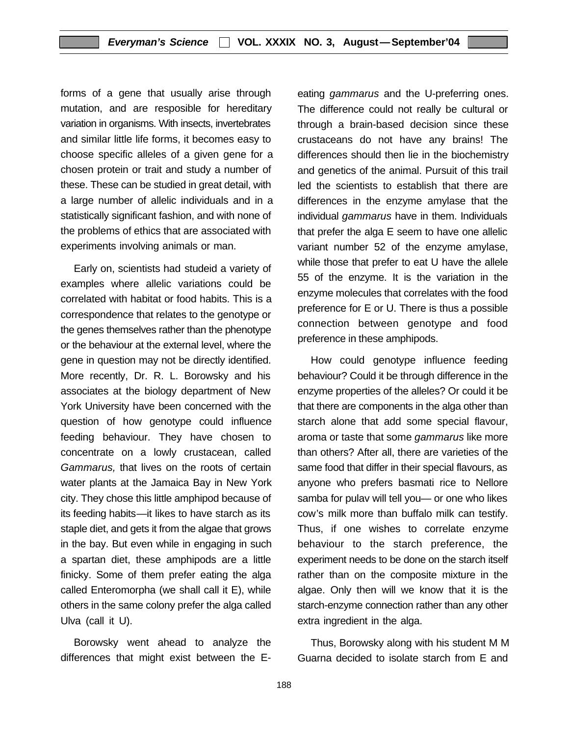forms of a gene that usually arise through mutation, and are resposible for hereditary variation in organisms. With insects, invertebrates and similar little life forms, it becomes easy to choose specific alleles of a given gene for a chosen protein or trait and study a number of these. These can be studied in great detail, with a large number of allelic individuals and in a statistically significant fashion, and with none of the problems of ethics that are associated with experiments involving animals or man.

Early on, scientists had studeid a variety of examples where allelic variations could be correlated with habitat or food habits. This is a correspondence that relates to the genotype or the genes themselves rather than the phenotype or the behaviour at the external level, where the gene in question may not be directly identified. More recently, Dr. R. L. Borowsky and his associates at the biology department of New York University have been concerned with the question of how genotype could influence feeding behaviour. They have chosen to concentrate on a lowly crustacean, called *Gammarus,* that lives on the roots of certain water plants at the Jamaica Bay in New York city. They chose this little amphipod because of its feeding habits—it likes to have starch as its staple diet, and gets it from the algae that grows in the bay. But even while in engaging in such a spartan diet, these amphipods are a little finicky. Some of them prefer eating the alga called Enteromorpha (we shall call it E), while others in the same colony prefer the alga called Ulva (call it U).

Borowsky went ahead to analyze the differences that might exist between the E- eating *gammarus* and the U-preferring ones. The difference could not really be cultural or through a brain-based decision since these crustaceans do not have any brains! The differences should then lie in the biochemistry and genetics of the animal. Pursuit of this trail led the scientists to establish that there are differences in the enzyme amylase that the individual *gammarus* have in them. Individuals that prefer the alga E seem to have one allelic variant number 52 of the enzyme amylase, while those that prefer to eat U have the allele 55 of the enzyme. It is the variation in the enzyme molecules that correlates with the food preference for E or U. There is thus a possible connection between genotype and food preference in these amphipods.

How could genotype influence feeding behaviour? Could it be through difference in the enzyme properties of the alleles? Or could it be that there are components in the alga other than starch alone that add some special flavour, aroma or taste that some *gammarus* like more than others? After all, there are varieties of the same food that differ in their special flavours, as anyone who prefers basmati rice to Nellore samba for pulav will tell you— or one who likes cow's milk more than buffalo milk can testify. Thus, if one wishes to correlate enzyme behaviour to the starch preference, the experiment needs to be done on the starch itself rather than on the composite mixture in the algae. Only then will we know that it is the starch-enzyme connection rather than any other extra ingredient in the alga.

Thus, Borowsky along with his student M M Guarna decided to isolate starch from E and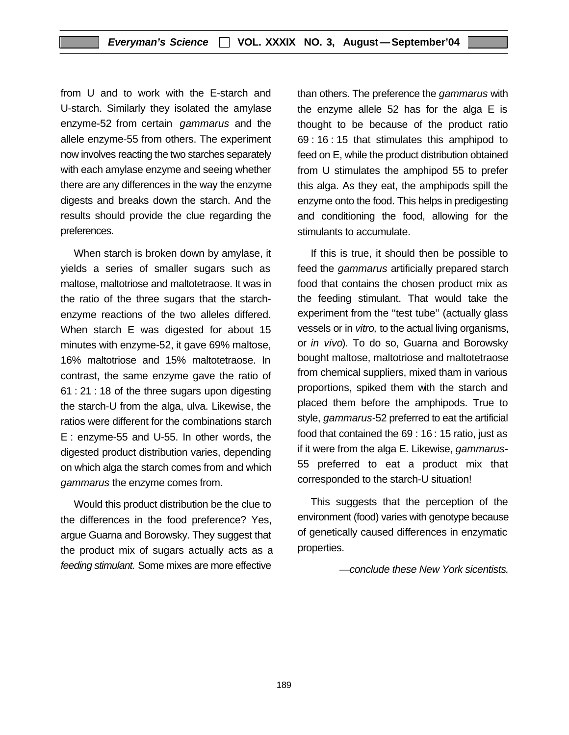from U and to work with the E-starch and U-starch. Similarly they isolated the amylase enzyme-52 from certain *gammarus* and the allele enzyme-55 from others. The experiment now involves reacting the two starches separately with each amylase enzyme and seeing whether there are any differences in the way the enzyme digests and breaks down the starch. And the results should provide the clue regarding the preferences.

When starch is broken down by amylase, it yields a series of smaller sugars such as maltose, maltotriose and maltotetraose. It was in the ratio of the three sugars that the starchenzyme reactions of the two alleles differed. When starch E was digested for about 15 minutes with enzyme-52, it gave 69% maltose, 16% maltotriose and 15% maltotetraose. In contrast, the same enzyme gave the ratio of 61 : 21 : 18 of the three sugars upon digesting the starch-U from the alga, ulva. Likewise, the ratios were different for the combinations starch E : enzyme-55 and U-55. In other words, the digested product distribution varies, depending on which alga the starch comes from and which *gammarus* the enzyme comes from.

Would this product distribution be the clue to the differences in the food preference? Yes, argue Guarna and Borowsky. They suggest that the product mix of sugars actually acts as a *feeding stimulant.* Some mixes are more effective

than others. The preference the *gammarus* with the enzyme allele 52 has for the alga E is thought to be because of the product ratio 69 : 16 : 15 that stimulates this amphipod to feed on E, while the product distribution obtained from U stimulates the amphipod 55 to prefer this alga. As they eat, the amphipods spill the enzyme onto the food. This helps in predigesting and conditioning the food, allowing for the stimulants to accumulate.

If this is true, it should then be possible to feed the *gammarus* artificially prepared starch food that contains the chosen product mix as the feeding stimulant. That would take the experiment from the "test tube" (actually glass vessels or in *vitro,* to the actual living organisms, or *in vivo*). To do so, Guarna and Borowsky bought maltose, maltotriose and maltotetraose from chemical suppliers, mixed tham in various proportions, spiked them with the starch and placed them before the amphipods. True to style, *gammarus-*52 preferred to eat the artificial food that contained the 69 : 16 : 15 ratio, just as if it were from the alga E. Likewise, *gammarus-*55 preferred to eat a product mix that corresponded to the starch-U situation!

This suggests that the perception of the environment (food) varies with genotype because of genetically caused differences in enzymatic properties.

*—conclude these New York sicentists.*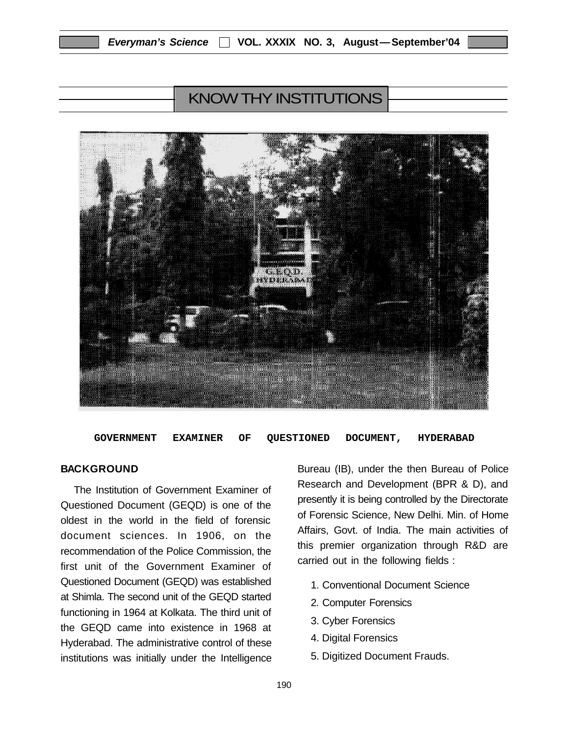# KNOW THY INSTITUTIONS



**GOVERNMENT EXAMINER OF QUESTIONED DOCUMENT, HYDERABAD**

#### **BACKGROUND**

The Institution of Government Examiner of Questioned Document (GEQD) is one of the oldest in the world in the field of forensic document sciences. In 1906, on the recommendation of the Police Commission, the first unit of the Government Examiner of Questioned Document (GEQD) was established at Shimla. The second unit of the GEQD started functioning in 1964 at Kolkata. The third unit of the GEQD came into existence in 1968 at Hyderabad. The administrative control of these institutions was initially under the Intelligence

Bureau (IB), under the then Bureau of Police Research and Development (BPR & D), and presently it is being controlled by the Directorate of Forensic Science, New Delhi. Min. of Home Affairs, Govt. of India. The main activities of this premier organization through R&D are carried out in the following fields :

- 1. Conventional Document Science
- 2. Computer Forensics
- 3. Cyber Forensics
- 4. Digital Forensics
- 5. Digitized Document Frauds.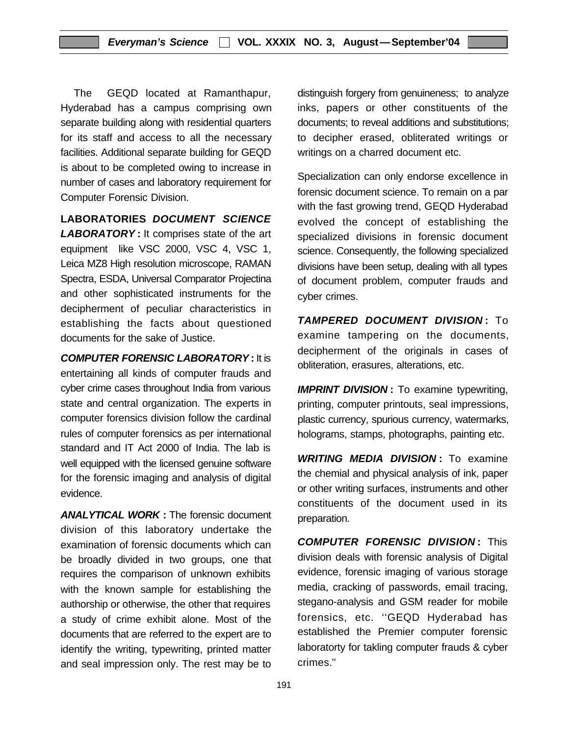The GEQD located at Ramanthapur, Hyderabad has a campus comprising own separate building along with residential quarters for its staff and access to all the necessary facilities. Additional separate building for GEQD is about to be completed owing to increase in number of cases and laboratory requirement for Computer Forensic Division.

**LABORATORIES** *DOCUMENT SCIENCE LABORATORY* **:** It comprises state of the art

equipment like VSC 2000, VSC 4, VSC 1, Leica MZ8 High resolution microscope, RAMAN Spectra, ESDA, Universal Comparator Projectina and other sophisticated instruments for the decipherment of peculiar characteristics in establishing the facts about questioned documents for the sake of Justice.

*COMPUTER FORENSIC LABORATORY* **:** It is entertaining all kinds of computer frauds and cyber crime cases throughout India from various state and central organization. The experts in computer forensics division follow the cardinal rules of computer forensics as per international standard and IT Act 2000 of India. The lab is well equipped with the licensed genuine software for the forensic imaging and analysis of digital evidence.

*ANALYTICAL WORK* **:** The forensic document division of this laboratory undertake the examination of forensic documents which can be broadly divided in two groups, one that requires the comparison of unknown exhibits with the known sample for establishing the authorship or otherwise, the other that requires a study of crime exhibit alone. Most of the documents that are referred to the expert are to identify the writing, typewriting, printed matter and seal impression only. The rest may be to

distinguish forgery from genuineness; to analyze inks, papers or other constituents of the documents; to reveal additions and substitutions; to decipher erased, obliterated writings or writings on a charred document etc.

Specialization can only endorse excellence in forensic document science. To remain on a par with the fast growing trend, GEQD Hyderabad evolved the concept of establishing the specialized divisions in forensic document science. Consequently, the following specialized divisions have been setup, dealing with all types of document problem, computer frauds and cyber crimes.

*TAMPERED DOCUMENT DIVISION* **:** To examine tampering on the documents, decipherment of the originals in cases of obliteration, erasures, alterations, etc.

**IMPRINT DIVISION**: To examine typewriting, printing, computer printouts, seal impressions, plastic currency, spurious currency, watermarks, holograms, stamps, photographs, painting etc.

*WRITING MEDIA DIVISION* **:** To examine the chemial and physical analysis of ink, paper or other writing surfaces, instruments and other constituents of the document used in its preparation.

*COMPUTER FORENSIC DIVISION* **:** This division deals with forensic analysis of Digital evidence, forensic imaging of various storage media, cracking of passwords, email tracing, stegano-analysis and GSM reader for mobile forensics, etc. ''GEQD Hyderabad has established the Premier computer forensic laboratorty for takling computer frauds & cyber crimes.''